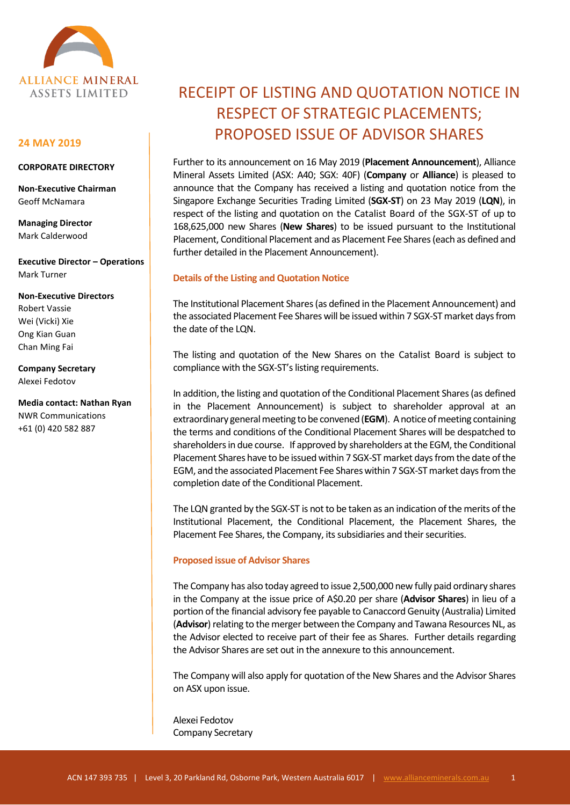

## **24 MAY 2019**

## **CORPORATE DIRECTORY**

**Non-Executive Chairman** Geoff McNamara

**Managing Director** Mark Calderwood

**Executive Director – Operations** Mark Turner

#### **Non-Executive Directors**

Robert Vassie Wei (Vicki) Xie Ong Kian Guan Chan Ming Fai

**Company Secretary** Alexei Fedotov

**Media contact: Nathan Ryan** NWR Communications +61 (0) 420 582 887

# RECEIPT OF LISTING AND QUOTATION NOTICE IN RESPECT OF STRATEGIC PLACEMENTS; PROPOSED ISSUE OF ADVISOR SHARES

Further to its announcement on 16 May 2019 (**Placement Announcement**), Alliance Mineral Assets Limited (ASX: A40; SGX: 40F) (**Company** or **Alliance**) is pleased to announce that the Company has received a listing and quotation notice from the Singapore Exchange Securities Trading Limited (**SGX-ST**) on 23 May 2019 (**LQN**), in respect of the listing and quotation on the Catalist Board of the SGX-ST of up to 168,625,000 new Shares (**New Shares**) to be issued pursuant to the Institutional Placement, Conditional Placement and as Placement Fee Shares (each as defined and further detailed in the Placement Announcement).

## **Details of the Listing and Quotation Notice**

The Institutional Placement Shares(as defined in the Placement Announcement) and the associated Placement Fee Shares will be issued within 7 SGX-ST market days from the date of the LQN.

The listing and quotation of the New Shares on the Catalist Board is subject to compliance with the SGX-ST's listing requirements.

In addition, the listing and quotation of the Conditional Placement Shares (as defined in the Placement Announcement) is subject to shareholder approval at an extraordinary general meeting to be convened (**EGM**). A notice of meeting containing the terms and conditions of the Conditional Placement Shares will be despatched to shareholders in due course. If approved by shareholders at the EGM, the Conditional Placement Shares have to be issued within 7 SGX-ST market days from the date of the EGM, and the associated Placement Fee Shares within 7 SGX-ST market days from the completion date of the Conditional Placement.

The LQN granted by the SGX-ST is not to be taken as an indication of the merits of the Institutional Placement, the Conditional Placement, the Placement Shares, the Placement Fee Shares, the Company, its subsidiaries and their securities.

#### **Proposed issue of Advisor Shares**

The Company has also today agreed to issue 2,500,000 new fully paid ordinary shares in the Company at the issue price of A\$0.20 per share (**Advisor Shares**) in lieu of a portion of the financial advisory fee payable to Canaccord Genuity (Australia) Limited (**Advisor**) relating to the merger between the Company and Tawana Resources NL, as the Advisor elected to receive part of their fee as Shares. Further details regarding the Advisor Shares are set out in the annexure to this announcement.

The Company will also apply for quotation of the New Shares and the Advisor Shares on ASX upon issue.

Alexei Fedotov Company Secretary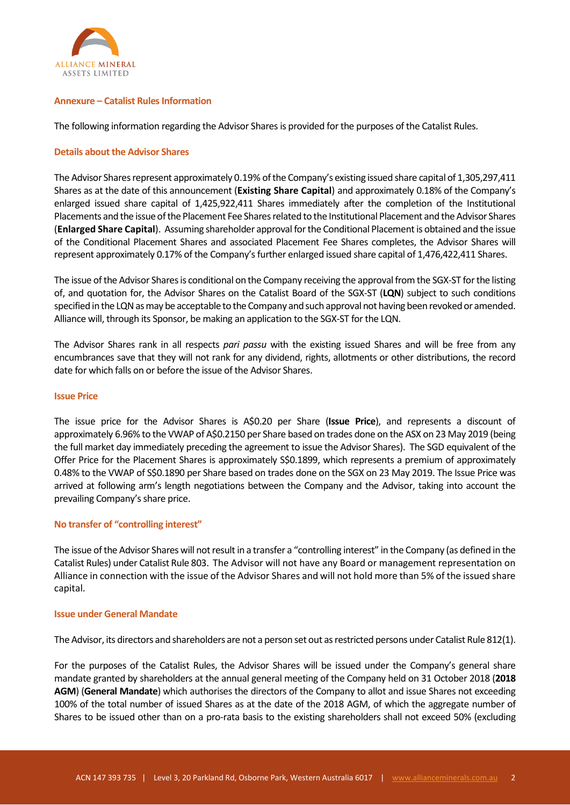

## **Annexure – Catalist Rules Information**

The following information regarding the Advisor Sharesis provided for the purposes of the Catalist Rules.

## **Details about the Advisor Shares**

The Advisor Shares represent approximately 0.19% of the Company's existing issued share capital of 1,305,297,411 Shares as at the date of this announcement (**Existing Share Capital**) and approximately 0.18% of the Company's enlarged issued share capital of 1,425,922,411 Shares immediately after the completion of the Institutional Placements and the issue of the Placement Fee Shares related to the Institutional Placement and the Advisor Shares (**Enlarged Share Capital**). Assuming shareholder approval for the Conditional Placement is obtained and the issue of the Conditional Placement Shares and associated Placement Fee Shares completes, the Advisor Shares will represent approximately 0.17% of the Company's further enlarged issued share capital of 1,476,422,411 Shares.

The issue of the Advisor Shares is conditional on the Company receiving the approval from the SGX-ST for the listing of, and quotation for, the Advisor Shares on the Catalist Board of the SGX-ST (**LQN**) subject to such conditions specified in the LQN as may be acceptable to the Company and such approval not having been revoked or amended. Alliance will, through its Sponsor, be making an application to the SGX-ST for the LQN.

The Advisor Shares rank in all respects *pari passu* with the existing issued Shares and will be free from any encumbrances save that they will not rank for any dividend, rights, allotments or other distributions, the record date for which falls on or before the issue of the Advisor Shares.

## **Issue Price**

The issue price for the Advisor Shares is A\$0.20 per Share (**Issue Price**), and represents a discount of approximately 6.96% to the VWAP of A\$0.2150 per Share based on trades done on the ASX on 23 May 2019 (being the full market day immediately preceding the agreement to issue the Advisor Shares). The SGD equivalent of the Offer Price for the Placement Shares is approximately S\$0.1899, which represents a premium of approximately 0.48% to the VWAP of S\$0.1890 per Share based on trades done on the SGX on 23 May 2019. The Issue Price was arrived at following arm's length negotiations between the Company and the Advisor, taking into account the prevailing Company's share price.

## **No transfer of "controlling interest"**

The issue of the Advisor Shares will not result in a transfer a "controlling interest" in the Company (as defined in the Catalist Rules) under Catalist Rule 803. The Advisor will not have any Board or management representation on Alliance in connection with the issue of the Advisor Shares and will not hold more than 5% of the issued share capital.

## **Issue under General Mandate**

The Advisor, its directors and shareholders are not a person set out as restricted persons under Catalist Rule 812(1).

For the purposes of the Catalist Rules, the Advisor Shares will be issued under the Company's general share mandate granted by shareholders at the annual general meeting of the Company held on 31 October 2018 (**2018 AGM**) (**General Mandate**) which authorises the directors of the Company to allot and issue Shares not exceeding 100% of the total number of issued Shares as at the date of the 2018 AGM, of which the aggregate number of Shares to be issued other than on a pro-rata basis to the existing shareholders shall not exceed 50% (excluding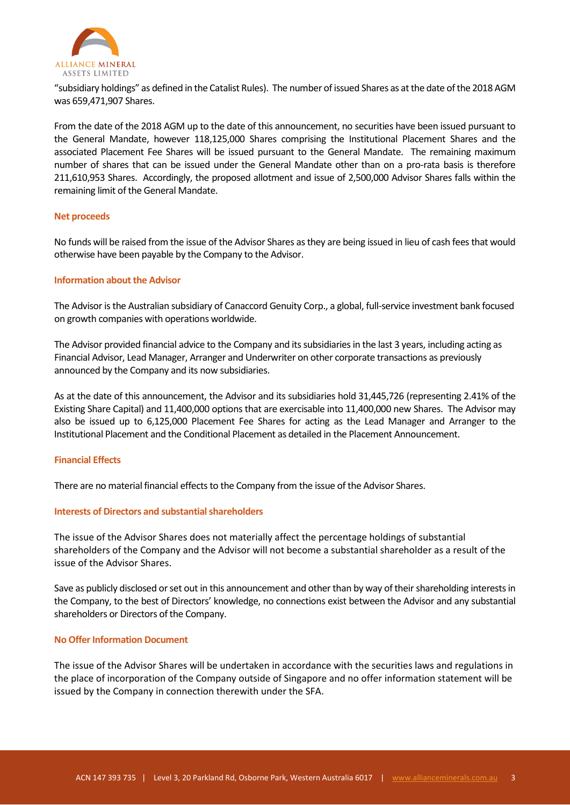

"subsidiary holdings" as defined in the Catalist Rules). The number of issued Shares as at the date of the 2018 AGM was 659,471,907 Shares.

From the date of the 2018 AGM up to the date of this announcement, no securities have been issued pursuant to the General Mandate, however 118,125,000 Shares comprising the Institutional Placement Shares and the associated Placement Fee Shares will be issued pursuant to the General Mandate. The remaining maximum number of shares that can be issued under the General Mandate other than on a pro-rata basis is therefore 211,610,953 Shares. Accordingly, the proposed allotment and issue of 2,500,000 Advisor Shares falls within the remaining limit of the General Mandate.

## **Net proceeds**

No funds will be raised from the issue of the Advisor Shares as they are being issued in lieu of cash fees that would otherwise have been payable by the Company to the Advisor.

## **Information about the Advisor**

The Advisor is the Australian subsidiary of Canaccord Genuity Corp., a global, full-service investment bank focused on growth companies with operations worldwide.

The Advisor provided financial advice to the Company and its subsidiaries in the last 3 years, including acting as Financial Advisor, Lead Manager, Arranger and Underwriter on other corporate transactions as previously announced by the Company and its now subsidiaries.

As at the date of this announcement, the Advisor and its subsidiaries hold 31,445,726 (representing 2.41% of the Existing Share Capital) and 11,400,000 options that are exercisable into 11,400,000 new Shares. The Advisor may also be issued up to 6,125,000 Placement Fee Shares for acting as the Lead Manager and Arranger to the Institutional Placement and the Conditional Placement as detailed in the Placement Announcement.

## **Financial Effects**

There are no material financial effects to the Company from the issue of the Advisor Shares.

## **Interests of Directors and substantial shareholders**

The issue of the Advisor Shares does not materially affect the percentage holdings of substantial shareholders of the Company and the Advisor will not become a substantial shareholder as a result of the issue of the Advisor Shares.

Save as publicly disclosed or set out in this announcement and other than by way of their shareholding interests in the Company, to the best of Directors' knowledge, no connections exist between the Advisor and any substantial shareholders or Directors of the Company.

#### **No Offer Information Document**

The issue of the Advisor Shares will be undertaken in accordance with the securities laws and regulations in the place of incorporation of the Company outside of Singapore and no offer information statement will be issued by the Company in connection therewith under the SFA.